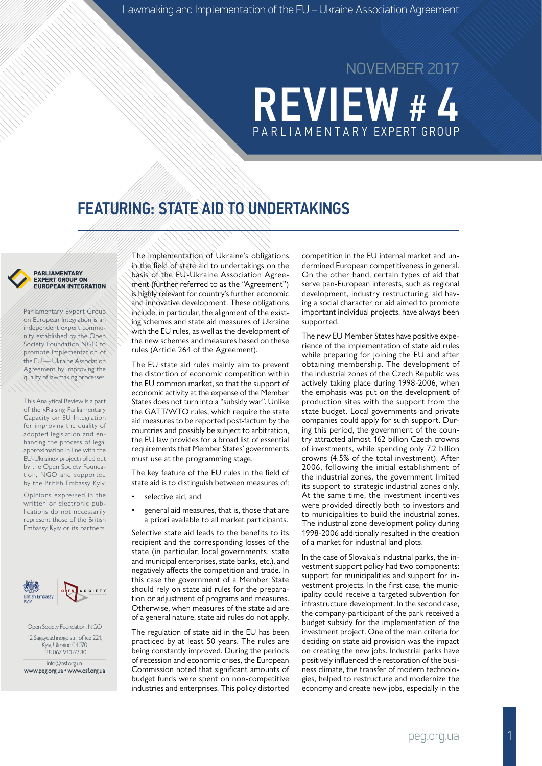# **REVIEW #** PA R L I A M E N TA R Y EXPERT GROUP NOVEMBER 2017

## FEATURING: STATE AID TO UNDERTAKINGS

#### PARLIAMENTARY **EXPERT GROUP ON EUROPEAN INTEGRATION**

Parliamentary Expert Group on European Integration is an independent expert community established by the Open Society Foundation NGO to promote implementation of the EU — Ukraine Association Agreement by improving the quality of lawmaking processes.

This Analytical Review is a part of the «Raising Parliamentary Capacity on EU Integration for improving the quality of adopted legislation and enhancing the process of legal approximation in line with the EU-Ukraine» project rolled out by the Open Society Foundation, NGO and supported by the British Embassy Kyiv.

Opinions expressed in the written or electronic publications do not necessarily represent those of the British Embassy Kyiv or its partners.



Open Society Foundation, NGO 12 Sagaydachnogo str., office 221, Kyiv, Ukraine 04070 +38 067 930 62 80

info@osf.org.ua www.peg.org.ua • www.osf.org.ua

The implementation of Ukraine's obligations in the field of state aid to undertakings on the basis of the EU-Ukraine Association Agreement (further referred to as the "Agreement") is highly relevant for country's further economic and innovative development. These obligations include, in particular, the alignment of the existing schemes and state aid measures of Ukraine with the EU rules, as well as the development of the new schemes and measures based on these rules (Article 264 of the Agreement).

The EU state aid rules mainly aim to prevent the distortion of economic competition within the EU common market, so that the support of economic activity at the expense of the Member States does not turn into a "subsidy war". Unlike the GATT/WTO rules, which require the state aid measures to be reported post-factum by the countries and possibly be subject to arbitration, the EU law provides for a broad list of essential requirements that Member States' governments must use at the programming stage.

The key feature of the EU rules in the field of state aid is to distinguish between measures of:

- selective aid, and
- general aid measures, that is, those that are a priori available to all market participants.

Selective state aid leads to the benefits to its recipient and the corresponding losses of the state (in particular, local governments, state and municipal enterprises, state banks, etc.), and negatively affects the competition and trade. In this case the government of a Member State should rely on state aid rules for the preparation or adjustment of programs and measures. Otherwise, when measures of the state aid are of a general nature, state aid rules do not apply.

The regulation of state aid in the EU has been practiced by at least 50 years. The rules are being constantly improved. During the periods of recession and economic crises, the European Commission noted that significant amounts of budget funds were spent on non-competitive industries and enterprises. This policy distorted competition in the EU internal market and undermined European competitiveness in general. On the other hand, certain types of aid that serve pan-European interests, such as regional development, industry restructuring, aid having a social character or aid aimed to promote important individual projects, have always been supported.

The new EU Member States have positive experience of the implementation of state aid rules while preparing for joining the EU and after obtaining membership. The development of the industrial zones of the Czech Republic was actively taking place during 1998-2006, when the emphasis was put on the development of production sites with the support from the state budget. Local governments and private companies could apply for such support. During this period, the government of the country attracted almost 162 billion Czech crowns of investments, while spending only 7.2 billion crowns (4.5% of the total investment). After 2006, following the initial establishment of the industrial zones, the government limited its support to strategic industrial zones only. At the same time, the investment incentives were provided directly both to investors and to municipalities to build the industrial zones. The industrial zone development policy during 1998-2006 additionally resulted in the creation of a market for industrial land plots.

In the case of Slovakia's industrial parks, the investment support policy had two components: support for municipalities and support for investment projects. In the first case, the municipality could receive a targeted subvention for infrastructure development. In the second case, the company-participant of the park received a budget subsidy for the implementation of the investment project. One of the main criteria for deciding on state aid provision was the impact on creating the new jobs. Industrial parks have positively influenced the restoration of the business climate, the transfer of modern technologies, helped to restructure and modernize the economy and create new jobs, especially in the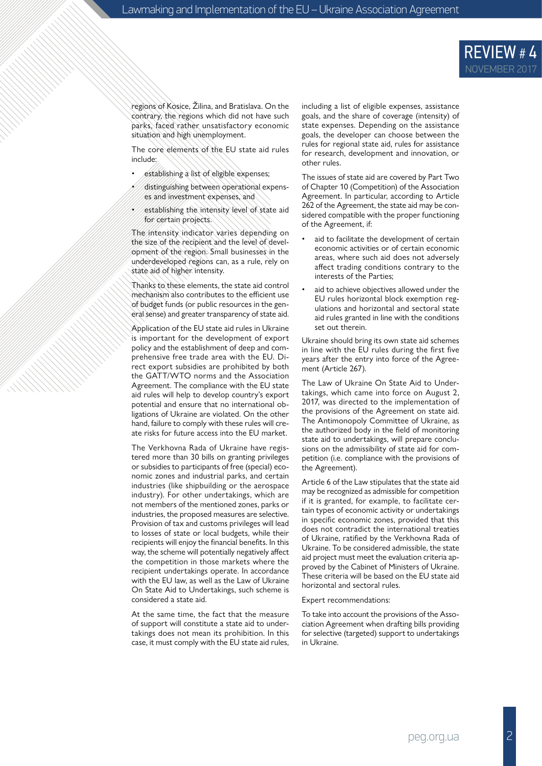

regions of Kosice, Žilina, and Bratislava. On the contrary, the regions which did not have such parks, faced rather unsatisfactory economic situation and high unemployment.

The core elements of the EU state aid rules include:

- establishing a list of eligible expenses;
- distinguishing between operational expenses and investment expenses, and
- establishing the intensity level of state aid for certain projects.

The intensity indicator varies depending on the size of the recipient and the level of development of the region. Small businesses in the underdeveloped regions can, as a rule, rely on state aid of higher intensity.

Thanks to these elements, the state aid control mechanism also contributes to the efficient use of budget funds (or public resources in the general sense) and greater transparency of state aid.

Application of the EU state aid rules in Ukraine is important for the development of export policy and the establishment of deep and comprehensive free trade area with the EU. Direct export subsidies are prohibited by both the GATT/WTO norms and the Association Agreement. The compliance with the EU state aid rules will help to develop country's export potential and ensure that no international obligations of Ukraine are violated. On the other hand, failure to comply with these rules will create risks for future access into the EU market.

The Verkhovna Rada of Ukraine have registered more than 30 bills on granting privileges or subsidies to participants of free (special) economic zones and industrial parks, and certain industries (like shipbuilding or the aerospace industry). For other undertakings, which are not members of the mentioned zones, parks or industries, the proposed measures are selective. Provision of tax and customs privileges will lead to losses of state or local budgets, while their recipients will enjoy the financial benefits. In this way, the scheme will potentially negatively affect the competition in those markets where the recipient undertakings operate. In accordance with the EU law, as well as the Law of Ukraine On State Aid to Undertakings, such scheme is considered a state aid.

At the same time, the fact that the measure of support will constitute a state aid to undertakings does not mean its prohibition. In this case, it must comply with the EU state aid rules, including a list of eligible expenses, assistance goals, and the share of coverage (intensity) of state expenses. Depending on the assistance goals, the developer can choose between the rules for regional state aid, rules for assistance for research, development and innovation, or other rules.

The issues of state aid are covered by Part Two of Chapter 10 (Competition) of the Association Agreement. In particular, according to Article 262 of the Agreement, the state aid may be considered compatible with the proper functioning of the Agreement, if:

- aid to facilitate the development of certain economic activities or of certain economic areas, where such aid does not adversely affect trading conditions contrary to the interests of the Parties;
- aid to achieve objectives allowed under the EU rules horizontal block exemption regulations and horizontal and sectoral state aid rules granted in line with the conditions set out therein.

Ukraine should bring its own state aid schemes in line with the EU rules during the first five years after the entry into force of the Agreement (Article 267).

The Law of Ukraine On State Aid to Undertakings, which came into force on August 2, 2017, was directed to the implementation of the provisions of the Agreement on state aid. The Antimonopoly Committee of Ukraine, as the authorized body in the field of monitoring state aid to undertakings, will prepare conclusions on the admissibility of state aid for competition (i.e. compliance with the provisions of the Agreement).

Article 6 of the Law stipulates that the state aid may be recognized as admissible for competition if it is granted, for example, to facilitate certain types of economic activity or undertakings in specific economic zones, provided that this does not contradict the international treaties of Ukraine, ratified by the Verkhovna Rada of Ukraine. To be considered admissible, the state aid project must meet the evaluation criteria approved by the Cabinet of Ministers of Ukraine. These criteria will be based on the EU state aid horizontal and sectoral rules.

Expert recommendations:

To take into account the provisions of the Association Agreement when drafting bills providing for selective (targeted) support to undertakings in Ukraine.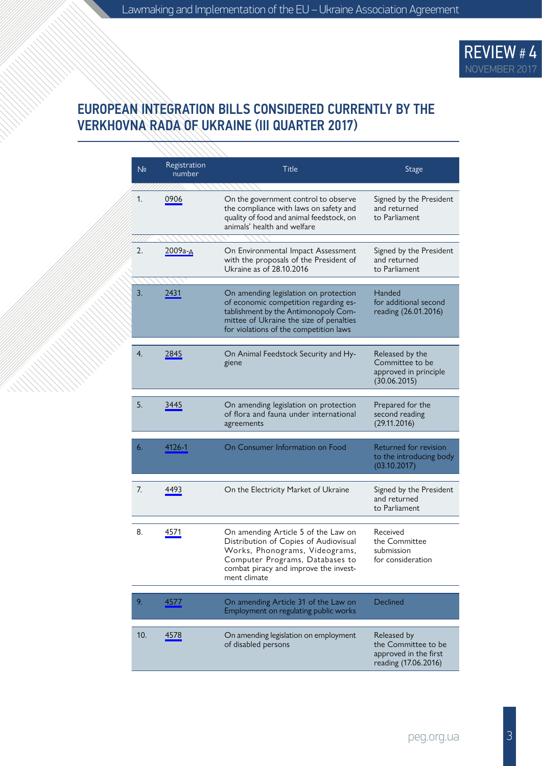

#### EUROPEAN INTEGRATION BILLS CONSIDERED CURRENTLY BY THE VERKHOVNA RADA OF UKRAINE (ІІI QUARTER 2017)

| N <sub>2</sub> | Registration<br>number | Title                                                                                                                                                                                                       | Stage                                                                               |
|----------------|------------------------|-------------------------------------------------------------------------------------------------------------------------------------------------------------------------------------------------------------|-------------------------------------------------------------------------------------|
| 1.             | 0906                   | On the government control to observe<br>the compliance with laws on safety and<br>quality of food and animal feedstock, on<br>animals' health and welfare                                                   | Signed by the President<br>and returned<br>to Parliament                            |
| 2.             | 2009а-д                | On Environmental Impact Assessment<br>with the proposals of the President of<br>Ukraine as of 28.10.2016                                                                                                    | Signed by the President<br>and returned<br>to Parliament                            |
| 3.             | 2431                   | On amending legislation on protection<br>of economic competition regarding es-<br>tablishment by the Antimonopoly Com-<br>mittee of Ukraine the size of penalties<br>for violations of the competition laws | Handed<br>for additional second<br>reading (26.01.2016)                             |
| 4.             | 2845                   | On Animal Feedstock Security and Hy-<br>giene                                                                                                                                                               | Released by the<br>Committee to be<br>approved in principle<br>(30.06.2015)         |
| 5.             | 3445                   | On amending legislation on protection<br>of flora and fauna under international<br>agreements                                                                                                               | Prepared for the<br>second reading<br>(29.11.2016)                                  |
| 6.             | 4126-1                 | On Consumer Information on Food                                                                                                                                                                             | Returned for revision<br>to the introducing body<br>(03.10.2017)                    |
| 7.             | 4493                   | On the Electricity Market of Ukraine                                                                                                                                                                        | Signed by the President<br>and returned<br>to Parliament                            |
| 8.             | 4571                   | On amending Article 5 of the Law on<br>Distribution of Copies of Audiovisual<br>Works, Phonograms, Videograms,<br>Computer Programs, Databases to<br>combat piracy and improve the invest-<br>ment climate  | Received<br>the Committee<br>submission<br>for consideration                        |
| 9.             | 4577                   | On amending Article 31 of the Law on<br>Employment on regulating public works                                                                                                                               | Declined                                                                            |
| 10.            | 4578                   | On amending legislation on employment<br>of disabled persons                                                                                                                                                | Released by<br>the Committee to be<br>approved in the first<br>reading (17.06.2016) |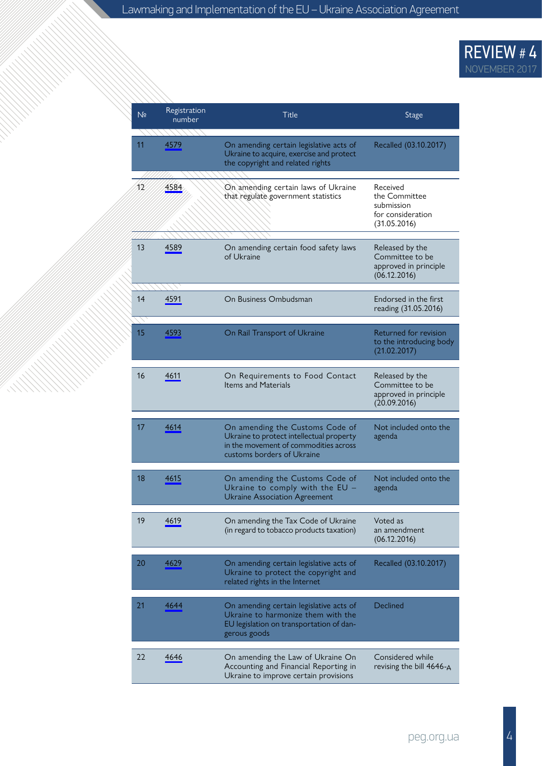### REVIEW # 4 NOVEMBER 2017

| N <sub>2</sub> | Registration<br>number | Title                                                                                                                                              | <b>Stage</b>                                                                 |
|----------------|------------------------|----------------------------------------------------------------------------------------------------------------------------------------------------|------------------------------------------------------------------------------|
| 11             | 4579                   | On amending certain legislative acts of<br>Ukraine to acquire, exercise and protect<br>the copyright and related rights                            | Recalled (03.10.2017)                                                        |
| 12             | 4584                   | On amending certain laws of Ukraine<br>that regulate government statistics                                                                         | Received<br>the Committee<br>submission<br>for consideration<br>(31.05.2016) |
| 13             | 4589                   | On amending certain food safety laws<br>of Ukraine                                                                                                 | Released by the<br>Committee to be<br>approved in principle<br>(06.12.2016)  |
| 14             | 4591                   | On Business Ombudsman                                                                                                                              | Endorsed in the first<br>reading (31.05.2016)                                |
| 15             | 4593                   | On Rail Transport of Ukraine                                                                                                                       | Returned for revision<br>to the introducing body<br>(21.02.2017)             |
| 16             | 4611                   | On Requirements to Food Contact<br><b>Items and Materials</b>                                                                                      | Released by the<br>Committee to be<br>approved in principle<br>(20.09.2016)  |
| 17             | 4614                   | On amending the Customs Code of<br>Ukraine to protect intellectual property<br>in the movement of commodities across<br>customs borders of Ukraine | Not included onto the<br>agenda                                              |
| 18             | 4615                   | On amending the Customs Code of<br>Ukraine to comply with the $EU -$<br><b>Ukraine Association Agreement</b>                                       | Not included onto the<br>agenda                                              |
| 19             | 4619                   | On amending the Tax Code of Ukraine<br>(in regard to tobacco products taxation)                                                                    | Voted as<br>an amendment<br>(06.12.2016)                                     |
| 20             | 4629                   | On amending certain legislative acts of<br>Ukraine to protect the copyright and<br>related rights in the Internet                                  | Recalled (03.10.2017)                                                        |
| 21             | 4644                   | On amending certain legislative acts of<br>Ukraine to harmonize them with the<br>EU legislation on transportation of dan-<br>gerous goods          | Declined                                                                     |
| 22             | 4646                   | On amending the Law of Ukraine On<br>Accounting and Financial Reporting in<br>Ukraine to improve certain provisions                                | Considered while<br>revising the bill $4646 - A$                             |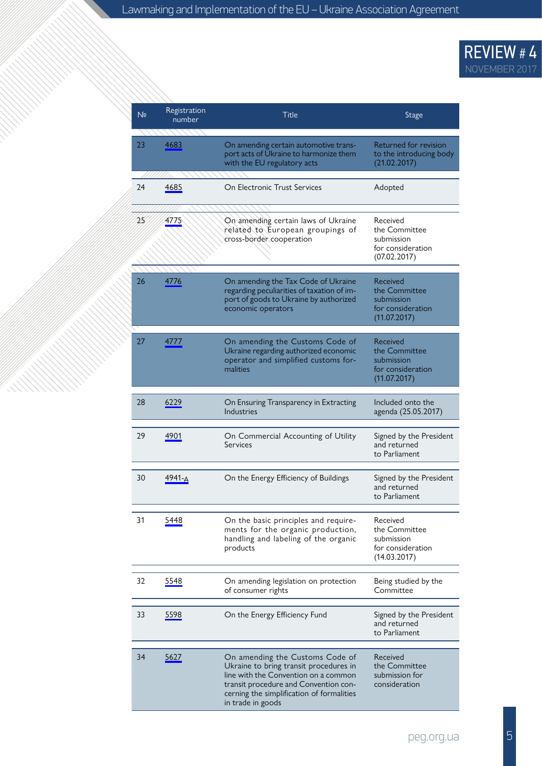#### REVIEW # 4 NOVEMBER 2017

| N <sub>2</sub> | Registration<br>number | Title                                                                                                                                                                                                                        | Stage                                                                        |
|----------------|------------------------|------------------------------------------------------------------------------------------------------------------------------------------------------------------------------------------------------------------------------|------------------------------------------------------------------------------|
| 23             | 4683                   | On amending certain automotive trans-<br>port acts of Ukraine to harmonize them<br>with the EU regulatory acts                                                                                                               | Returned for revision<br>to the introducing body<br>(21.02.2017)             |
| 24             | 4685                   | On Electronic Trust Services                                                                                                                                                                                                 | Adopted                                                                      |
| 25             | 4775                   | On amending certain laws of Ukraine<br>related to European groupings of<br>cross-border cooperation                                                                                                                          | Received<br>the Committee<br>submission<br>for consideration<br>(07.02.2017) |
| 26             | 4776                   | On amending the Tax Code of Ukraine<br>regarding peculiarities of taxation of im-<br>port of goods to Ukraine by authorized<br>economic operators                                                                            | Received<br>the Committee<br>submission<br>for consideration<br>(11.07.2017) |
| 27             | 4777                   | On amending the Customs Code of<br>Ukraine regarding authorized economic<br>operator and simplified customs for-<br>malities                                                                                                 | Received<br>the Committee<br>submission<br>for consideration<br>(11.07.2017) |
| 28             | 6229                   | On Ensuring Transparency in Extracting<br>Industries                                                                                                                                                                         | Included onto the<br>agenda (25.05.2017)                                     |
| 29             | 4901                   | On Commercial Accounting of Utility<br>Services                                                                                                                                                                              | Signed by the President<br>and returned<br>to Parliament                     |
| 30             | 4941-A                 | On the Energy Efficiency of Buildings                                                                                                                                                                                        | Signed by the President<br>and returned<br>to Parliament                     |
| 31             | 5448                   | On the basic principles and require-<br>ments for the organic production,<br>handling and labeling of the organic<br>products                                                                                                | Received<br>the Committee<br>submission<br>for consideration<br>(14.03.2017) |
| 32             | 5548                   | On amending legislation on protection<br>of consumer rights                                                                                                                                                                  | Being studied by the<br>Committee                                            |
| 33             | 5598                   | On the Energy Efficiency Fund                                                                                                                                                                                                | Signed by the President<br>and returned<br>to Parliament                     |
| 34             | 5627                   | On amending the Customs Code of<br>Ukraine to bring transit procedures in<br>line with the Convention on a common<br>transit procedure and Convention con-<br>cerning the simplification of formalities<br>in trade in goods | Received<br>the Committee<br>submission for<br>consideration                 |